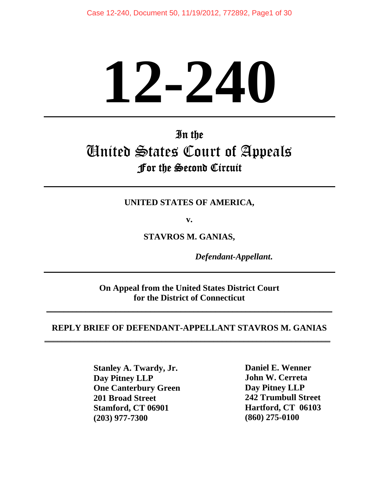# **12-240**

# In the United States Court of Appeals For the Second Circuit

**UNITED STATES OF AMERICA,** 

**v.** 

**STAVROS M. GANIAS,** 

 *Defendant-Appellant***.** 

**On Appeal from the United States District Court for the District of Connecticut** 

**\_\_\_\_\_\_\_\_\_\_\_\_\_\_\_\_\_\_\_\_\_\_\_\_\_\_\_\_\_\_\_\_\_\_\_\_\_\_\_\_\_\_\_\_\_\_\_\_\_\_\_\_\_\_\_\_\_\_\_\_\_\_\_\_\_\_**

#### **REPLY BRIEF OF DEFENDANT-APPELLANT STAVROS M. GANIAS \_\_\_\_\_\_\_\_\_\_\_\_\_\_\_\_\_\_\_\_\_\_\_\_\_\_\_\_\_\_\_\_\_\_\_\_\_\_\_\_\_\_\_\_\_\_\_\_\_\_\_\_\_\_\_\_\_\_\_\_\_\_\_\_\_\_**

**Daniel E. Wenner Daniel E. Wenner John W. Cerreta Day Pitney LLP Day Pitney LLP Example 18 Islammer 18 Islammer 18 Islammer 18 Islammer 18 Islammer 18 Islammer 18 Islammer 18 Islammer 18 Islammer 18 Islammer 18 Islammer 18 Islammer 18 Islammer 18 Islammer 18 Islammer 18 Islammer 18 Islammer 18 Islamm (860) 275-0100 (203) 977-7300 201 Broad Street** 

 **242 Trumbull Street**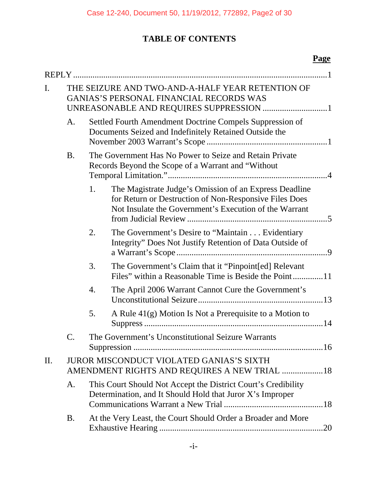# **TABLE OF CONTENTS**

## **Page**

| I.  | THE SEIZURE AND TWO-AND-A-HALF YEAR RETENTION OF<br><b>GANIAS'S PERSONAL FINANCIAL RECORDS WAS</b> |                                                                                                                            |                                                                                                                                                                            |  |
|-----|----------------------------------------------------------------------------------------------------|----------------------------------------------------------------------------------------------------------------------------|----------------------------------------------------------------------------------------------------------------------------------------------------------------------------|--|
|     | A.                                                                                                 |                                                                                                                            | Settled Fourth Amendment Doctrine Compels Suppression of<br>Documents Seized and Indefinitely Retained Outside the                                                         |  |
|     | <b>B.</b>                                                                                          |                                                                                                                            | The Government Has No Power to Seize and Retain Private<br>Records Beyond the Scope of a Warrant and "Without                                                              |  |
|     |                                                                                                    | 1.                                                                                                                         | The Magistrate Judge's Omission of an Express Deadline<br>for Return or Destruction of Non-Responsive Files Does<br>Not Insulate the Government's Execution of the Warrant |  |
|     |                                                                                                    | 2.                                                                                                                         | The Government's Desire to "Maintain Evidentiary<br>Integrity" Does Not Justify Retention of Data Outside of                                                               |  |
|     |                                                                                                    | 3.                                                                                                                         | The Government's Claim that it "Pinpoint[ed] Relevant<br>Files" within a Reasonable Time is Beside the Point11                                                             |  |
|     |                                                                                                    | 4.                                                                                                                         | The April 2006 Warrant Cannot Cure the Government's                                                                                                                        |  |
|     |                                                                                                    | 5.                                                                                                                         | A Rule 41(g) Motion Is Not a Prerequisite to a Motion to                                                                                                                   |  |
|     | C.                                                                                                 |                                                                                                                            | The Government's Unconstitutional Seizure Warrants                                                                                                                         |  |
| II. | <b>JUROR MISCONDUCT VIOLATED GANIAS'S SIXTH</b><br>AMENDMENT RIGHTS AND REQUIRES A NEW TRIAL  18   |                                                                                                                            |                                                                                                                                                                            |  |
|     | A.                                                                                                 | This Court Should Not Accept the District Court's Credibility<br>Determination, and It Should Hold that Juror X's Improper |                                                                                                                                                                            |  |
|     | <b>B.</b>                                                                                          |                                                                                                                            | At the Very Least, the Court Should Order a Broader and More<br>.20                                                                                                        |  |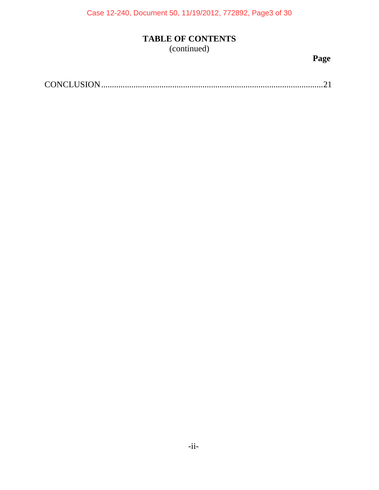Case 12-240, Document 50, 11/19/2012, 772892, Page3 of 30

# **TABLE OF CONTENTS**

(continued)

**Page**

|--|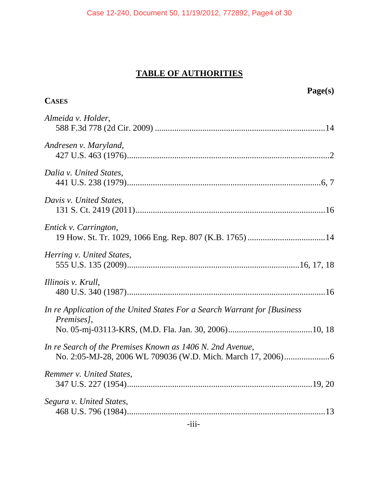Case 12-240, Document 50, 11/19/2012, 772892, Page4 of 30

# **TABLE OF AUTHORITIES**

|                                                                                          | Page(s) |
|------------------------------------------------------------------------------------------|---------|
| <b>CASES</b>                                                                             |         |
| Almeida v. Holder,                                                                       |         |
| Andresen v. Maryland,                                                                    |         |
| Dalia v. United States,                                                                  |         |
| Davis v. United States,                                                                  |         |
| Entick v. Carrington,                                                                    |         |
| Herring v. United States,                                                                |         |
| Illinois v. Krull,                                                                       |         |
| In re Application of the United States For a Search Warrant for [Business]<br>Premises], |         |
|                                                                                          |         |
| In re Search of the Premises Known as 1406 N. 2nd Avenue,                                |         |
| Remmer v. United States,                                                                 |         |
| Segura v. United States,                                                                 |         |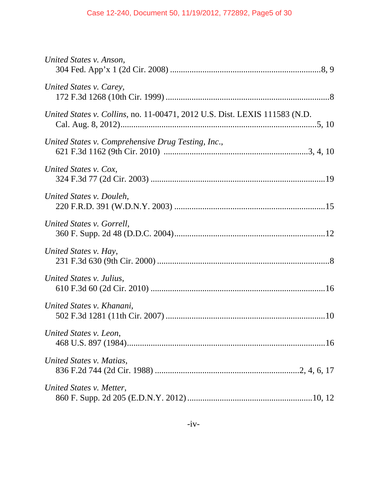| United States v. Anson,                                                    |
|----------------------------------------------------------------------------|
| United States v. Carey,                                                    |
| United States v. Collins, no. 11-00471, 2012 U.S. Dist. LEXIS 111583 (N.D. |
| United States v. Comprehensive Drug Testing, Inc.,                         |
| United States v. Cox,                                                      |
| United States v. Douleh,                                                   |
| United States v. Gorrell,                                                  |
| United States v. Hay,                                                      |
| United States v. Julius,                                                   |
| United States v. Khanani,                                                  |
| United States v. Leon,                                                     |
| United States v. Matias,                                                   |
| United States v. Metter,                                                   |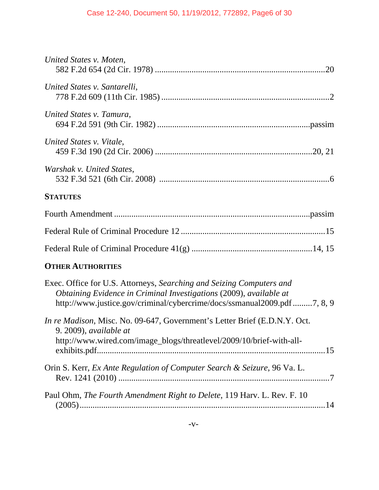| United States v. Moten,                                                                                                                                                                                               |
|-----------------------------------------------------------------------------------------------------------------------------------------------------------------------------------------------------------------------|
| United States v. Santarelli,                                                                                                                                                                                          |
| United States v. Tamura,                                                                                                                                                                                              |
| United States v. Vitale,                                                                                                                                                                                              |
| Warshak v. United States,                                                                                                                                                                                             |
| <b>STATUTES</b>                                                                                                                                                                                                       |
|                                                                                                                                                                                                                       |
|                                                                                                                                                                                                                       |
|                                                                                                                                                                                                                       |
| <b>OTHER AUTHORITIES</b>                                                                                                                                                                                              |
| Exec. Office for U.S. Attorneys, Searching and Seizing Computers and<br>Obtaining Evidence in Criminal Investigations (2009), available at<br>http://www.justice.gov/criminal/cybercrime/docs/ssmanual2009.pdf7, 8, 9 |
| In re Madison, Misc. No. 09-647, Government's Letter Brief (E.D.N.Y. Oct.<br>$9.2009$ , available at<br>http://www.wired.com/image_blogs/threatlevel/2009/10/brief-with-all-                                          |
| Orin S. Kerr, Ex Ante Regulation of Computer Search & Seizure, 96 Va. L.                                                                                                                                              |
| Paul Ohm, The Fourth Amendment Right to Delete, 119 Harv. L. Rev. F. 10                                                                                                                                               |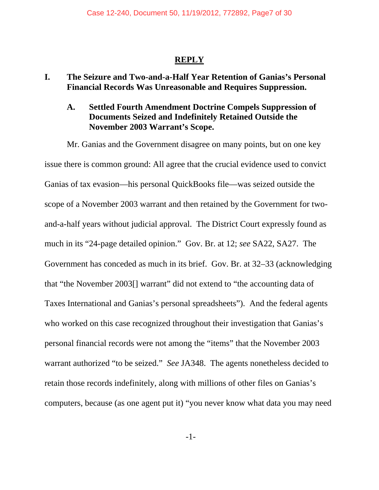#### **REPLY**

#### **I. The Seizure and Two-and-a-Half Year Retention of Ganias's Personal Financial Records Was Unreasonable and Requires Suppression.**

#### **A. Settled Fourth Amendment Doctrine Compels Suppression of Documents Seized and Indefinitely Retained Outside the November 2003 Warrant's Scope.**

Mr. Ganias and the Government disagree on many points, but on one key issue there is common ground: All agree that the crucial evidence used to convict Ganias of tax evasion—his personal QuickBooks file—was seized outside the scope of a November 2003 warrant and then retained by the Government for twoand-a-half years without judicial approval. The District Court expressly found as much in its "24-page detailed opinion." Gov. Br. at 12; *see* SA22, SA27. The Government has conceded as much in its brief. Gov. Br. at 32–33 (acknowledging that "the November 2003[] warrant" did not extend to "the accounting data of Taxes International and Ganias's personal spreadsheets"). And the federal agents who worked on this case recognized throughout their investigation that Ganias's personal financial records were not among the "items" that the November 2003 warrant authorized "to be seized." *See* JA348. The agents nonetheless decided to retain those records indefinitely, along with millions of other files on Ganias's computers, because (as one agent put it) "you never know what data you may need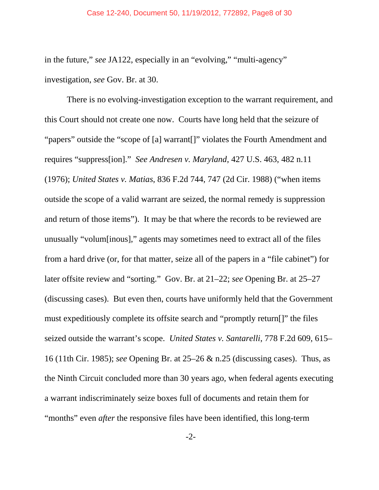in the future," *see* JA122, especially in an "evolving," "multi-agency" investigation, *see* Gov. Br. at 30.

There is no evolving-investigation exception to the warrant requirement, and this Court should not create one now. Courts have long held that the seizure of "papers" outside the "scope of [a] warrant[]" violates the Fourth Amendment and requires "suppress[ion]." *See Andresen v. Maryland*, 427 U.S. 463, 482 n.11 (1976); *United States v. Matias*, 836 F.2d 744, 747 (2d Cir. 1988) ("when items outside the scope of a valid warrant are seized, the normal remedy is suppression and return of those items"). It may be that where the records to be reviewed are unusually "volum[inous]," agents may sometimes need to extract all of the files from a hard drive (or, for that matter, seize all of the papers in a "file cabinet") for later offsite review and "sorting." Gov. Br. at 21–22; *see* Opening Br. at 25–27 (discussing cases). But even then, courts have uniformly held that the Government must expeditiously complete its offsite search and "promptly return[]" the files seized outside the warrant's scope. *United States v. Santarelli*, 778 F.2d 609, 615– 16 (11th Cir. 1985); *see* Opening Br. at 25–26 & n.25 (discussing cases). Thus, as the Ninth Circuit concluded more than 30 years ago, when federal agents executing a warrant indiscriminately seize boxes full of documents and retain them for "months" even *after* the responsive files have been identified, this long-term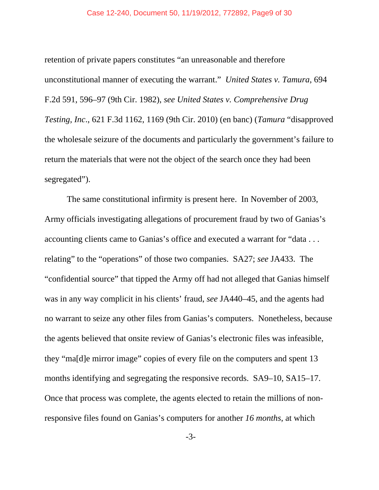#### Case 12-240, Document 50, 11/19/2012, 772892, Page9 of 30

retention of private papers constitutes "an unreasonable and therefore unconstitutional manner of executing the warrant." *United States v. Tamura*, 694 F.2d 591, 596–97 (9th Cir. 1982), *see United States v. Comprehensive Drug Testing, Inc*., 621 F.3d 1162, 1169 (9th Cir. 2010) (en banc) (*Tamura* "disapproved the wholesale seizure of the documents and particularly the government's failure to return the materials that were not the object of the search once they had been segregated").

The same constitutional infirmity is present here. In November of 2003, Army officials investigating allegations of procurement fraud by two of Ganias's accounting clients came to Ganias's office and executed a warrant for "data . . . relating" to the "operations" of those two companies. SA27; *see* JA433. The "confidential source" that tipped the Army off had not alleged that Ganias himself was in any way complicit in his clients' fraud, *see* JA440–45, and the agents had no warrant to seize any other files from Ganias's computers. Nonetheless, because the agents believed that onsite review of Ganias's electronic files was infeasible, they "ma[d]e mirror image" copies of every file on the computers and spent 13 months identifying and segregating the responsive records. SA9–10, SA15–17. Once that process was complete, the agents elected to retain the millions of nonresponsive files found on Ganias's computers for another *16 months*, at which

-3-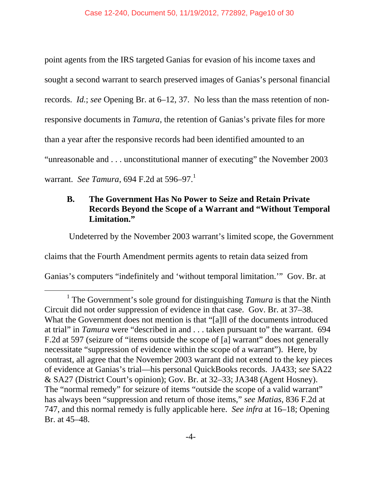point agents from the IRS targeted Ganias for evasion of his income taxes and sought a second warrant to search preserved images of Ganias's personal financial records. *Id.*; *see* Opening Br. at 6–12, 37. No less than the mass retention of nonresponsive documents in *Tamura*, the retention of Ganias's private files for more than a year after the responsive records had been identified amounted to an "unreasonable and . . . unconstitutional manner of executing" the November 2003 warrant. *See Tamura*, 694 F.2d at 596–97.1

#### **B. The Government Has No Power to Seize and Retain Private Records Beyond the Scope of a Warrant and "Without Temporal Limitation."**

Undeterred by the November 2003 warrant's limited scope, the Government

claims that the Fourth Amendment permits agents to retain data seized from

Ganias's computers "indefinitely and 'without temporal limitation.'" Gov. Br. at

 $\frac{1}{1}$ <sup>1</sup> The Government's sole ground for distinguishing *Tamura* is that the Ninth Circuit did not order suppression of evidence in that case. Gov. Br. at 37–38. What the Government does not mention is that "[a]ll of the documents introduced at trial" in *Tamura* were "described in and . . . taken pursuant to" the warrant. 694 F.2d at 597 (seizure of "items outside the scope of [a] warrant" does not generally necessitate "suppression of evidence within the scope of a warrant"). Here, by contrast, all agree that the November 2003 warrant did not extend to the key pieces of evidence at Ganias's trial—his personal QuickBooks records. JA433; *see* SA22 & SA27 (District Court's opinion); Gov. Br. at 32–33; JA348 (Agent Hosney). The "normal remedy" for seizure of items "outside the scope of a valid warrant" has always been "suppression and return of those items," *see Matias*, 836 F.2d at 747, and this normal remedy is fully applicable here. *See infra* at 16–18; Opening Br. at 45–48.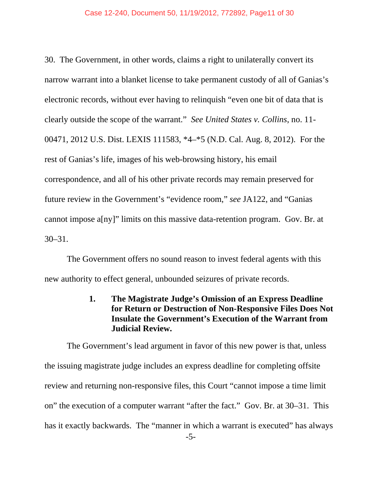30. The Government, in other words, claims a right to unilaterally convert its narrow warrant into a blanket license to take permanent custody of all of Ganias's electronic records, without ever having to relinquish "even one bit of data that is clearly outside the scope of the warrant." *See United States v. Collins*, no. 11- 00471, 2012 U.S. Dist. LEXIS 111583, \*4–\*5 (N.D. Cal. Aug. 8, 2012). For the rest of Ganias's life, images of his web-browsing history, his email correspondence, and all of his other private records may remain preserved for future review in the Government's "evidence room," *see* JA122, and "Ganias cannot impose a[ny]" limits on this massive data-retention program. Gov. Br. at 30–31.

The Government offers no sound reason to invest federal agents with this new authority to effect general, unbounded seizures of private records.

#### **1. The Magistrate Judge's Omission of an Express Deadline for Return or Destruction of Non-Responsive Files Does Not Insulate the Government's Execution of the Warrant from Judicial Review.**

The Government's lead argument in favor of this new power is that, unless the issuing magistrate judge includes an express deadline for completing offsite review and returning non-responsive files, this Court "cannot impose a time limit on" the execution of a computer warrant "after the fact." Gov. Br. at 30–31. This has it exactly backwards. The "manner in which a warrant is executed" has always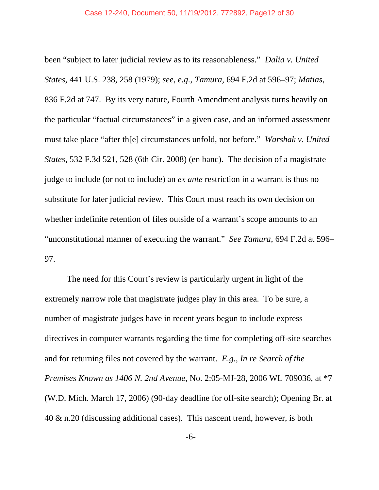been "subject to later judicial review as to its reasonableness." *Dalia v. United States*, 441 U.S. 238, 258 (1979); *see, e.g., Tamura*, 694 F.2d at 596–97; *Matias*, 836 F.2d at 747. By its very nature, Fourth Amendment analysis turns heavily on the particular "factual circumstances" in a given case, and an informed assessment must take place "after th[e] circumstances unfold, not before." *Warshak v. United States*, 532 F.3d 521, 528 (6th Cir. 2008) (en banc). The decision of a magistrate judge to include (or not to include) an *ex ante* restriction in a warrant is thus no substitute for later judicial review. This Court must reach its own decision on whether indefinite retention of files outside of a warrant's scope amounts to an "unconstitutional manner of executing the warrant." *See Tamura*, 694 F.2d at 596– 97.

The need for this Court's review is particularly urgent in light of the extremely narrow role that magistrate judges play in this area. To be sure, a number of magistrate judges have in recent years begun to include express directives in computer warrants regarding the time for completing off-site searches and for returning files not covered by the warrant. *E.g., In re Search of the Premises Known as 1406 N. 2nd Avenue*, No. 2:05-MJ-28, 2006 WL 709036, at \*7 (W.D. Mich. March 17, 2006) (90-day deadline for off-site search); Opening Br. at 40 & n.20 (discussing additional cases). This nascent trend, however, is both

-6-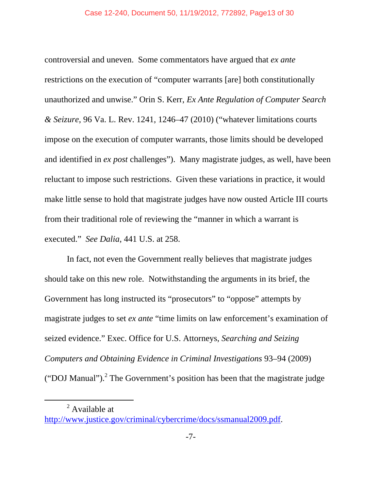controversial and uneven. Some commentators have argued that *ex ante* restrictions on the execution of "computer warrants [are] both constitutionally unauthorized and unwise." Orin S. Kerr, *Ex Ante Regulation of Computer Search & Seizure*, 96 Va. L. Rev. 1241, 1246–47 (2010) ("whatever limitations courts impose on the execution of computer warrants, those limits should be developed and identified in *ex post* challenges"). Many magistrate judges, as well, have been reluctant to impose such restrictions. Given these variations in practice, it would make little sense to hold that magistrate judges have now ousted Article III courts from their traditional role of reviewing the "manner in which a warrant is executed." *See Dalia*, 441 U.S. at 258.

In fact, not even the Government really believes that magistrate judges should take on this new role. Notwithstanding the arguments in its brief, the Government has long instructed its "prosecutors" to "oppose" attempts by magistrate judges to set *ex ante* "time limits on law enforcement's examination of seized evidence." Exec. Office for U.S. Attorneys, *Searching and Seizing Computers and Obtaining Evidence in Criminal Investigations* 93–94 (2009) ("DOJ Manual").<sup>2</sup> The Government's position has been that the magistrate judge

 2  $^{2}$  Available at

http://www.justice.gov/criminal/cybercrime/docs/ssmanual2009.pdf.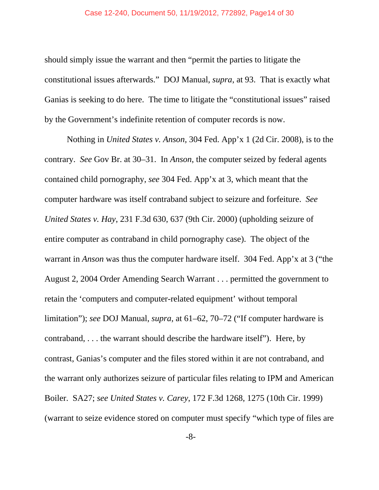#### Case 12-240, Document 50, 11/19/2012, 772892, Page14 of 30

should simply issue the warrant and then "permit the parties to litigate the constitutional issues afterwards." DOJ Manual, *supra*, at 93. That is exactly what Ganias is seeking to do here. The time to litigate the "constitutional issues" raised by the Government's indefinite retention of computer records is now.

Nothing in *United States v. Anson,* 304 Fed. App'x 1 (2d Cir. 2008), is to the contrary. *See* Gov Br. at 30–31. In *Anson*, the computer seized by federal agents contained child pornography, *see* 304 Fed. App'x at 3, which meant that the computer hardware was itself contraband subject to seizure and forfeiture. *See United States v. Hay*, 231 F.3d 630, 637 (9th Cir. 2000) (upholding seizure of entire computer as contraband in child pornography case). The object of the warrant in *Anson* was thus the computer hardware itself. 304 Fed. App'x at 3 ("the August 2, 2004 Order Amending Search Warrant . . . permitted the government to retain the 'computers and computer-related equipment' without temporal limitation"); *see* DOJ Manual, *supra*, at 61–62, 70–72 ("If computer hardware is contraband, . . . the warrant should describe the hardware itself"). Here, by contrast, Ganias's computer and the files stored within it are not contraband, and the warrant only authorizes seizure of particular files relating to IPM and American Boiler. SA27; *see United States v. Carey*, 172 F.3d 1268, 1275 (10th Cir. 1999) (warrant to seize evidence stored on computer must specify "which type of files are

-8-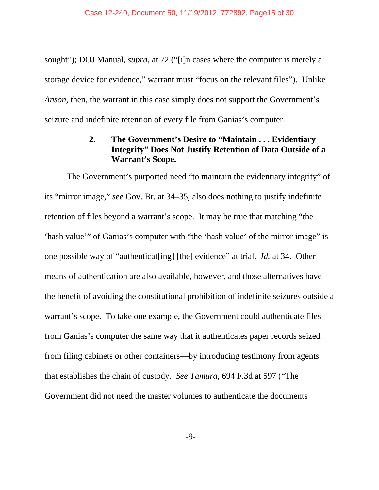sought"); DOJ Manual, *supra*, at 72 ("[i]n cases where the computer is merely a storage device for evidence," warrant must "focus on the relevant files"). Unlike *Anson*, then, the warrant in this case simply does not support the Government's seizure and indefinite retention of every file from Ganias's computer.

#### **2. The Government's Desire to "Maintain . . . Evidentiary Integrity" Does Not Justify Retention of Data Outside of a Warrant's Scope.**

The Government's purported need "to maintain the evidentiary integrity" of its "mirror image," *see* Gov. Br. at 34–35, also does nothing to justify indefinite retention of files beyond a warrant's scope. It may be true that matching "the 'hash value'" of Ganias's computer with "the 'hash value' of the mirror image" is one possible way of "authenticat[ing] [the] evidence" at trial. *Id.* at 34. Other means of authentication are also available, however, and those alternatives have the benefit of avoiding the constitutional prohibition of indefinite seizures outside a warrant's scope. To take one example, the Government could authenticate files from Ganias's computer the same way that it authenticates paper records seized from filing cabinets or other containers—by introducing testimony from agents that establishes the chain of custody. *See Tamura*, 694 F.3d at 597 ("The Government did not need the master volumes to authenticate the documents

-9-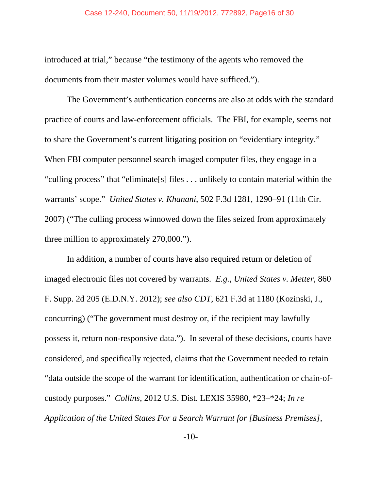introduced at trial," because "the testimony of the agents who removed the documents from their master volumes would have sufficed.").

The Government's authentication concerns are also at odds with the standard practice of courts and law-enforcement officials. The FBI, for example, seems not to share the Government's current litigating position on "evidentiary integrity." When FBI computer personnel search imaged computer files, they engage in a "culling process" that "eliminate[s] files . . . unlikely to contain material within the warrants' scope." *United States v. Khanani*, 502 F.3d 1281, 1290–91 (11th Cir. 2007) ("The culling process winnowed down the files seized from approximately three million to approximately 270,000.").

In addition, a number of courts have also required return or deletion of imaged electronic files not covered by warrants. *E.g., United States v. Metter*, 860 F. Supp. 2d 205 (E.D.N.Y. 2012); *see also CDT*, 621 F.3d at 1180 (Kozinski, J., concurring) ("The government must destroy or, if the recipient may lawfully possess it, return non-responsive data."). In several of these decisions, courts have considered, and specifically rejected, claims that the Government needed to retain "data outside the scope of the warrant for identification, authentication or chain-ofcustody purposes." *Collins*, 2012 U.S. Dist. LEXIS 35980, \*23–\*24; *In re Application of the United States For a Search Warrant for [Business Premises]*,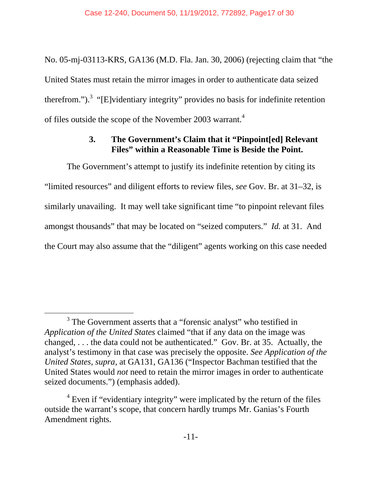No. 05-mj-03113-KRS, GA136 (M.D. Fla. Jan. 30, 2006) (rejecting claim that "the United States must retain the mirror images in order to authenticate data seized therefrom.").<sup>3</sup> "[E]videntiary integrity" provides no basis for indefinite retention of files outside the scope of the November 2003 warrant.<sup>4</sup>

#### **3. The Government's Claim that it "Pinpoint[ed] Relevant Files" within a Reasonable Time is Beside the Point.**

The Government's attempt to justify its indefinite retention by citing its "limited resources" and diligent efforts to review files, *see* Gov. Br. at 31–32, is similarly unavailing. It may well take significant time "to pinpoint relevant files amongst thousands" that may be located on "seized computers." *Id.* at 31. And the Court may also assume that the "diligent" agents working on this case needed

 $\frac{1}{3}$ <sup>3</sup> The Government asserts that a "forensic analyst" who testified in *Application of the United States* claimed "that if any data on the image was changed, . . . the data could not be authenticated." Gov. Br. at 35. Actually, the analyst's testimony in that case was precisely the opposite. *See Application of the United States*, *supra*, at GA131, GA136 ("Inspector Bachman testified that the United States would *not* need to retain the mirror images in order to authenticate seized documents.") (emphasis added).

<sup>&</sup>lt;sup>4</sup> Even if "evidentiary integrity" were implicated by the return of the files outside the warrant's scope, that concern hardly trumps Mr. Ganias's Fourth Amendment rights.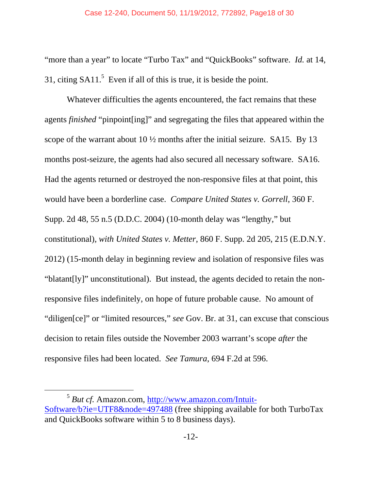"more than a year" to locate "Turbo Tax" and "QuickBooks" software. *Id.* at 14, 31, citing  $S A11$ <sup>5</sup> Even if all of this is true, it is beside the point.

Whatever difficulties the agents encountered, the fact remains that these agents *finished* "pinpoint[ing]" and segregating the files that appeared within the scope of the warrant about  $10\frac{1}{2}$  months after the initial seizure. SA15. By 13 months post-seizure, the agents had also secured all necessary software. SA16. Had the agents returned or destroyed the non-responsive files at that point, this would have been a borderline case. *Compare United States v. Gorrell*, 360 F. Supp. 2d 48, 55 n.5 (D.D.C. 2004) (10-month delay was "lengthy," but constitutional), *with United States v. Metter*, 860 F. Supp. 2d 205, 215 (E.D.N.Y. 2012) (15-month delay in beginning review and isolation of responsive files was "blatant[ly]" unconstitutional). But instead, the agents decided to retain the nonresponsive files indefinitely, on hope of future probable cause. No amount of "diligen[ce]" or "limited resources," *see* Gov. Br. at 31, can excuse that conscious decision to retain files outside the November 2003 warrant's scope *after* the responsive files had been located. *See Tamura*, 694 F.2d at 596.

 <sup>5</sup> *But cf.* Amazon.com, http://www.amazon.com/Intuit-Software/b?ie=UTF8&node=497488 (free shipping available for both TurboTax and QuickBooks software within 5 to 8 business days).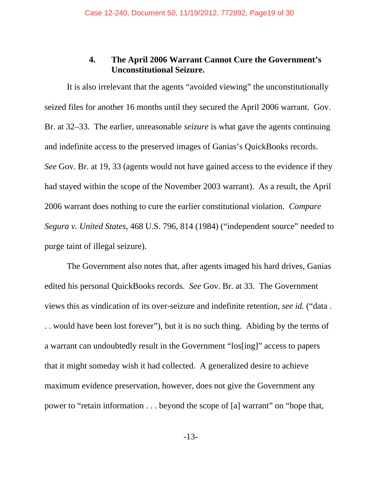#### **4. The April 2006 Warrant Cannot Cure the Government's Unconstitutional Seizure.**

It is also irrelevant that the agents "avoided viewing" the unconstitutionally seized files for another 16 months until they secured the April 2006 warrant. Gov. Br. at 32–33. The earlier, unreasonable *seizure* is what gave the agents continuing and indefinite access to the preserved images of Ganias's QuickBooks records. *See* Gov. Br. at 19, 33 (agents would not have gained access to the evidence if they had stayed within the scope of the November 2003 warrant). As a result, the April 2006 warrant does nothing to cure the earlier constitutional violation. *Compare Segura v. United States*, 468 U.S. 796, 814 (1984) ("independent source" needed to purge taint of illegal seizure).

The Government also notes that, after agents imaged his hard drives, Ganias edited his personal QuickBooks records. *See* Gov. Br. at 33. The Government views this as vindication of its over-seizure and indefinite retention, *see id.* ("data . . . would have been lost forever"), but it is no such thing. Abiding by the terms of a warrant can undoubtedly result in the Government "los[ing]" access to papers that it might someday wish it had collected. A generalized desire to achieve maximum evidence preservation, however, does not give the Government any power to "retain information . . . beyond the scope of [a] warrant" on "hope that,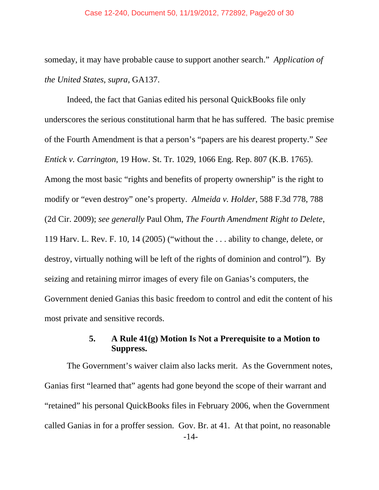#### Case 12-240, Document 50, 11/19/2012, 772892, Page20 of 30

someday, it may have probable cause to support another search." *Application of the United States*, *supra*, GA137.

Indeed, the fact that Ganias edited his personal QuickBooks file only underscores the serious constitutional harm that he has suffered. The basic premise of the Fourth Amendment is that a person's "papers are his dearest property." *See Entick v. Carrington*, 19 How. St. Tr. 1029, 1066 Eng. Rep. 807 (K.B. 1765). Among the most basic "rights and benefits of property ownership" is the right to modify or "even destroy" one's property. *Almeida v. Holder*, 588 F.3d 778, 788 (2d Cir. 2009); *see generally* Paul Ohm, *The Fourth Amendment Right to Delete*, 119 Harv. L. Rev. F. 10, 14 (2005) ("without the . . . ability to change, delete, or destroy, virtually nothing will be left of the rights of dominion and control"). By seizing and retaining mirror images of every file on Ganias's computers, the Government denied Ganias this basic freedom to control and edit the content of his most private and sensitive records.

#### **5. A Rule 41(g) Motion Is Not a Prerequisite to a Motion to Suppress.**

-14- The Government's waiver claim also lacks merit. As the Government notes, Ganias first "learned that" agents had gone beyond the scope of their warrant and "retained" his personal QuickBooks files in February 2006, when the Government called Ganias in for a proffer session. Gov. Br. at 41. At that point, no reasonable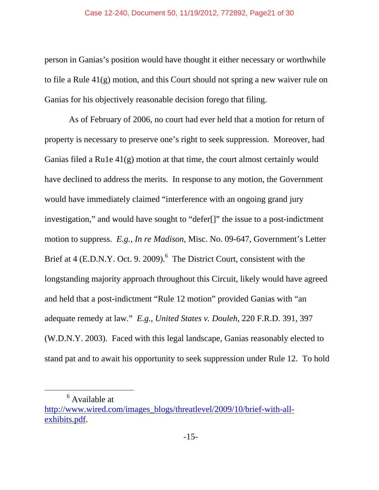person in Ganias's position would have thought it either necessary or worthwhile to file a Rule 41(g) motion, and this Court should not spring a new waiver rule on Ganias for his objectively reasonable decision forego that filing.

 As of February of 2006, no court had ever held that a motion for return of property is necessary to preserve one's right to seek suppression. Moreover, had Ganias filed a Ru1e 41(g) motion at that time, the court almost certainly would have declined to address the merits. In response to any motion, the Government would have immediately claimed "interference with an ongoing grand jury investigation," and would have sought to "defer[]" the issue to a post-indictment motion to suppress. *E.g., In re Madison*, Misc. No. 09-647, Government's Letter Brief at  $4$  (E.D.N.Y. Oct. 9. 2009).<sup>6</sup> The District Court, consistent with the longstanding majority approach throughout this Circuit, likely would have agreed and held that a post-indictment "Rule 12 motion" provided Ganias with "an adequate remedy at law." *E.g.*, *United States v. Douleh*, 220 F.R.D. 391, 397 (W.D.N.Y. 2003). Faced with this legal landscape, Ganias reasonably elected to stand pat and to await his opportunity to seek suppression under Rule 12. To hold

 $\begin{array}{c|c}\n\hline\n\end{array}$ <sup>6</sup> Available at

http://www.wired.com/images\_blogs/threatlevel/2009/10/brief-with-allexhibits.pdf.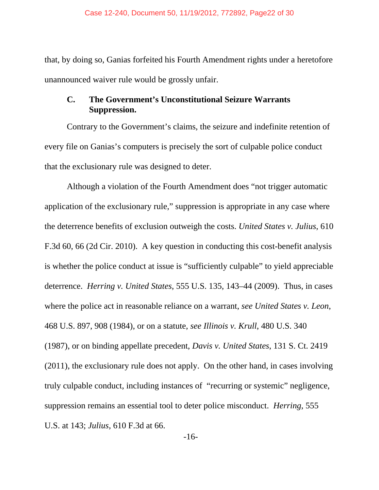that, by doing so, Ganias forfeited his Fourth Amendment rights under a heretofore unannounced waiver rule would be grossly unfair.

#### **C. The Government's Unconstitutional Seizure Warrants Suppression.**

Contrary to the Government's claims, the seizure and indefinite retention of every file on Ganias's computers is precisely the sort of culpable police conduct that the exclusionary rule was designed to deter.

Although a violation of the Fourth Amendment does "not trigger automatic application of the exclusionary rule," suppression is appropriate in any case where the deterrence benefits of exclusion outweigh the costs. *United States v. Julius*, 610 F.3d 60, 66 (2d Cir. 2010). A key question in conducting this cost-benefit analysis is whether the police conduct at issue is "sufficiently culpable" to yield appreciable deterrence. *Herring v. United States*, 555 U.S. 135, 143–44 (2009). Thus, in cases where the police act in reasonable reliance on a warrant, *see United States v. Leon*, 468 U.S. 897, 908 (1984), or on a statute, *see Illinois v. Krull*, 480 U.S. 340 (1987), or on binding appellate precedent, *Davis v. United States*, 131 S. Ct. 2419 (2011), the exclusionary rule does not apply. On the other hand, in cases involving truly culpable conduct, including instances of "recurring or systemic" negligence, suppression remains an essential tool to deter police misconduct. *Herring*, 555 U.S. at 143; *Julius*, 610 F.3d at 66.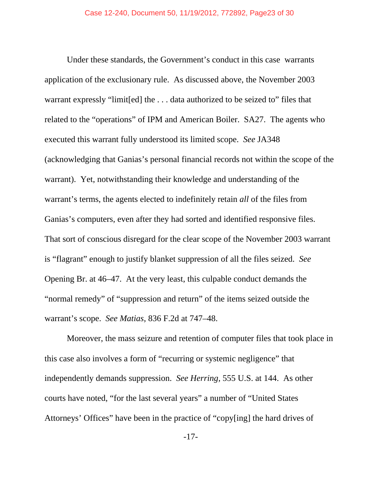Under these standards, the Government's conduct in this case warrants application of the exclusionary rule. As discussed above, the November 2003 warrant expressly "limit[ed] the . . . data authorized to be seized to" files that related to the "operations" of IPM and American Boiler. SA27. The agents who executed this warrant fully understood its limited scope. *See* JA348 (acknowledging that Ganias's personal financial records not within the scope of the warrant). Yet, notwithstanding their knowledge and understanding of the warrant's terms, the agents elected to indefinitely retain *all* of the files from Ganias's computers, even after they had sorted and identified responsive files. That sort of conscious disregard for the clear scope of the November 2003 warrant is "flagrant" enough to justify blanket suppression of all the files seized. *See*  Opening Br. at 46–47. At the very least, this culpable conduct demands the "normal remedy" of "suppression and return" of the items seized outside the warrant's scope. *See Matias*, 836 F.2d at 747–48.

Moreover, the mass seizure and retention of computer files that took place in this case also involves a form of "recurring or systemic negligence" that independently demands suppression. *See Herring,* 555 U.S. at 144. As other courts have noted, "for the last several years" a number of "United States Attorneys' Offices" have been in the practice of "copy[ing] the hard drives of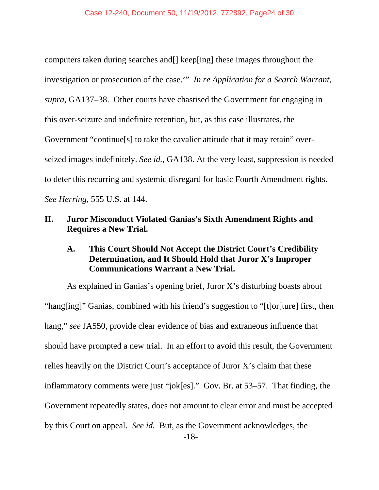computers taken during searches and[] keep[ing] these images throughout the investigation or prosecution of the case.'" *In re Application for a Search Warrant*, *supra*, GA137–38. Other courts have chastised the Government for engaging in this over-seizure and indefinite retention, but, as this case illustrates, the Government "continue[s] to take the cavalier attitude that it may retain" overseized images indefinitely. *See id.*, GA138. At the very least, suppression is needed to deter this recurring and systemic disregard for basic Fourth Amendment rights. *See Herring,* 555 U.S. at 144.

#### **II. Juror Misconduct Violated Ganias's Sixth Amendment Rights and Requires a New Trial.**

#### **A. This Court Should Not Accept the District Court's Credibility Determination, and It Should Hold that Juror X's Improper Communications Warrant a New Trial.**

 As explained in Ganias's opening brief, Juror X's disturbing boasts about "hang[ing]" Ganias, combined with his friend's suggestion to "[t]or[ture] first, then hang," *see* JA550, provide clear evidence of bias and extraneous influence that should have prompted a new trial. In an effort to avoid this result, the Government relies heavily on the District Court's acceptance of Juror X's claim that these inflammatory comments were just "jok[es]." Gov. Br. at 53–57. That finding, the Government repeatedly states, does not amount to clear error and must be accepted by this Court on appeal. *See id.* But, as the Government acknowledges, the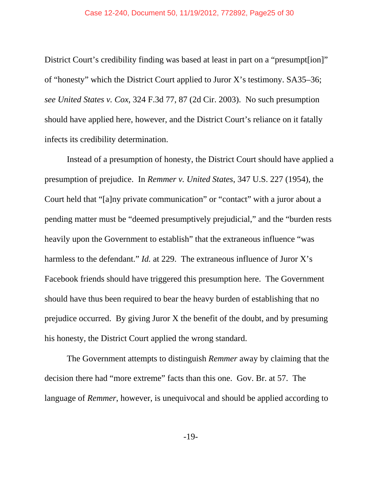District Court's credibility finding was based at least in part on a "presumpt[ion]" of "honesty" which the District Court applied to Juror X's testimony. SA35–36; *see United States v. Cox*, 324 F.3d 77, 87 (2d Cir. 2003). No such presumption should have applied here, however, and the District Court's reliance on it fatally infects its credibility determination.

 Instead of a presumption of honesty, the District Court should have applied a presumption of prejudice. In *Remmer v. United States*, 347 U.S. 227 (1954), the Court held that "[a]ny private communication" or "contact" with a juror about a pending matter must be "deemed presumptively prejudicial," and the "burden rests heavily upon the Government to establish" that the extraneous influence "was harmless to the defendant." *Id.* at 229. The extraneous influence of Juror X's Facebook friends should have triggered this presumption here. The Government should have thus been required to bear the heavy burden of establishing that no prejudice occurred. By giving Juror X the benefit of the doubt, and by presuming his honesty, the District Court applied the wrong standard.

 The Government attempts to distinguish *Remmer* away by claiming that the decision there had "more extreme" facts than this one. Gov. Br. at 57. The language of *Remmer*, however, is unequivocal and should be applied according to

-19-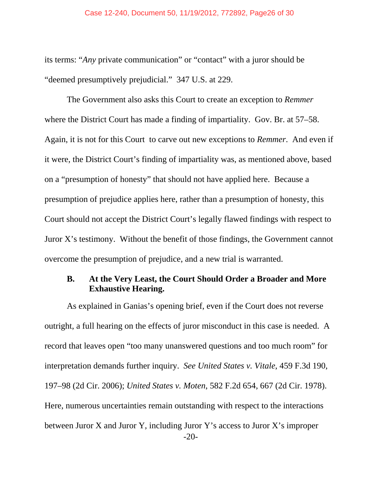its terms: "*Any* private communication" or "contact" with a juror should be "deemed presumptively prejudicial." 347 U.S. at 229.

 The Government also asks this Court to create an exception to *Remmer* where the District Court has made a finding of impartiality. Gov. Br. at 57–58. Again, it is not for this Court to carve out new exceptions to *Remmer*. And even if it were, the District Court's finding of impartiality was, as mentioned above, based on a "presumption of honesty" that should not have applied here. Because a presumption of prejudice applies here, rather than a presumption of honesty, this Court should not accept the District Court's legally flawed findings with respect to Juror X's testimony. Without the benefit of those findings, the Government cannot overcome the presumption of prejudice, and a new trial is warranted.

#### **B. At the Very Least, the Court Should Order a Broader and More Exhaustive Hearing.**

-20- As explained in Ganias's opening brief, even if the Court does not reverse outright, a full hearing on the effects of juror misconduct in this case is needed. A record that leaves open "too many unanswered questions and too much room" for interpretation demands further inquiry. *See United States v. Vitale*, 459 F.3d 190, 197–98 (2d Cir. 2006); *United States v. Moten*, 582 F.2d 654, 667 (2d Cir. 1978). Here, numerous uncertainties remain outstanding with respect to the interactions between Juror X and Juror Y, including Juror Y's access to Juror X's improper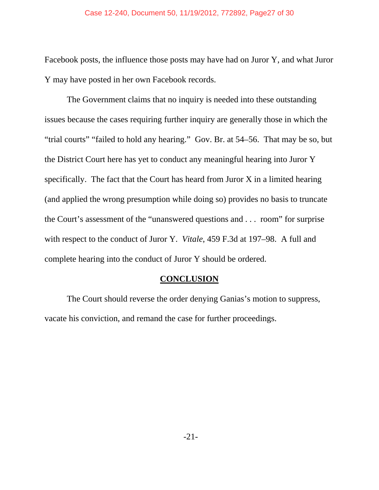Facebook posts, the influence those posts may have had on Juror Y, and what Juror Y may have posted in her own Facebook records.

 The Government claims that no inquiry is needed into these outstanding issues because the cases requiring further inquiry are generally those in which the "trial courts" "failed to hold any hearing." Gov. Br. at 54–56. That may be so, but the District Court here has yet to conduct any meaningful hearing into Juror Y specifically. The fact that the Court has heard from Juror X in a limited hearing (and applied the wrong presumption while doing so) provides no basis to truncate the Court's assessment of the "unanswered questions and . . . room" for surprise with respect to the conduct of Juror Y. *Vitale*, 459 F.3d at 197–98. A full and complete hearing into the conduct of Juror Y should be ordered.

#### **CONCLUSION**

 The Court should reverse the order denying Ganias's motion to suppress, vacate his conviction, and remand the case for further proceedings.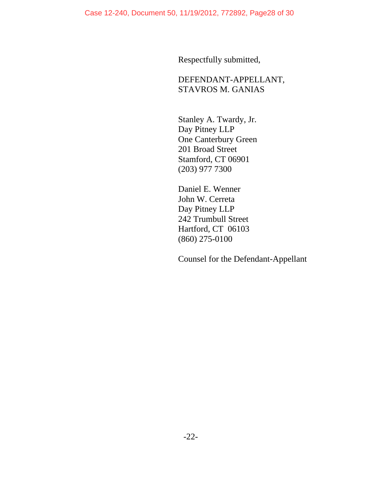Respectfully submitted,

DEFENDANT-APPELLANT, STAVROS M. GANIAS

Stanley A. Twardy, Jr. Day Pitney LLP One Canterbury Green 201 Broad Street Stamford, CT 06901 (203) 977 7300

Daniel E. Wenner John W. Cerreta Day Pitney LLP 242 Trumbull Street Hartford, CT 06103 (860) 275-0100

Counsel for the Defendant-Appellant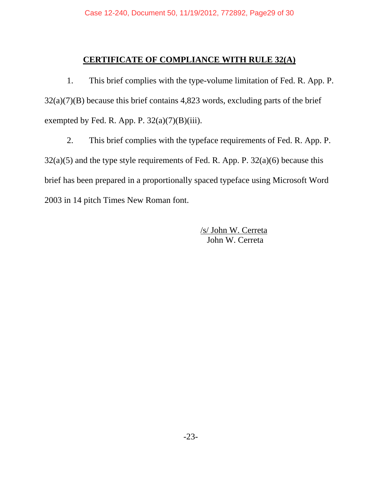## **CERTIFICATE OF COMPLIANCE WITH RULE 32(A)**

1. This brief complies with the type-volume limitation of Fed. R. App. P.  $32(a)(7)(B)$  because this brief contains 4,823 words, excluding parts of the brief exempted by Fed. R. App. P.  $32(a)(7)(B)(iii)$ .

2. This brief complies with the typeface requirements of Fed. R. App. P.  $32(a)(5)$  and the type style requirements of Fed. R. App. P.  $32(a)(6)$  because this brief has been prepared in a proportionally spaced typeface using Microsoft Word 2003 in 14 pitch Times New Roman font.

> /s/ John W. Cerreta John W. Cerreta